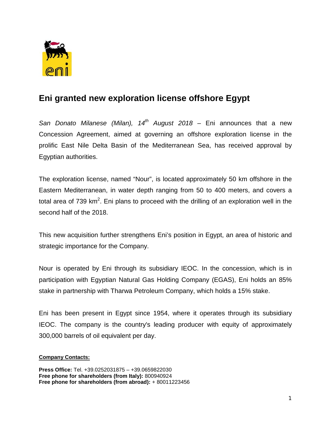

## **Eni granted new exploration license offshore Egypt**

*San Donato Milanese (Milan), 14th August 2018* – Eni announces that a new Concession Agreement, aimed at governing an offshore exploration license in the prolific East Nile Delta Basin of the Mediterranean Sea, has received approval by Egyptian authorities.

The exploration license, named "Nour", is located approximately 50 km offshore in the Eastern Mediterranean, in water depth ranging from 50 to 400 meters, and covers a total area of 739 km<sup>2</sup>. Eni plans to proceed with the drilling of an exploration well in the second half of the 2018.

This new acquisition further strengthens Eni's position in Egypt, an area of historic and strategic importance for the Company.

Nour is operated by Eni through its subsidiary IEOC. In the concession, which is in participation with Egyptian Natural Gas Holding Company (EGAS), Eni holds an 85% stake in partnership with Tharwa Petroleum Company, which holds a 15% stake.

Eni has been present in Egypt since 1954, where it operates through its subsidiary IEOC. The company is the country's leading producer with equity of approximately 300,000 barrels of oil equivalent per day.

## **Company Contacts:**

**Press Office:** Tel. +39.0252031875 – +39.0659822030 **Free phone for shareholders (from Italy):** 800940924 **Free phone for shareholders (from abroad):** + 80011223456